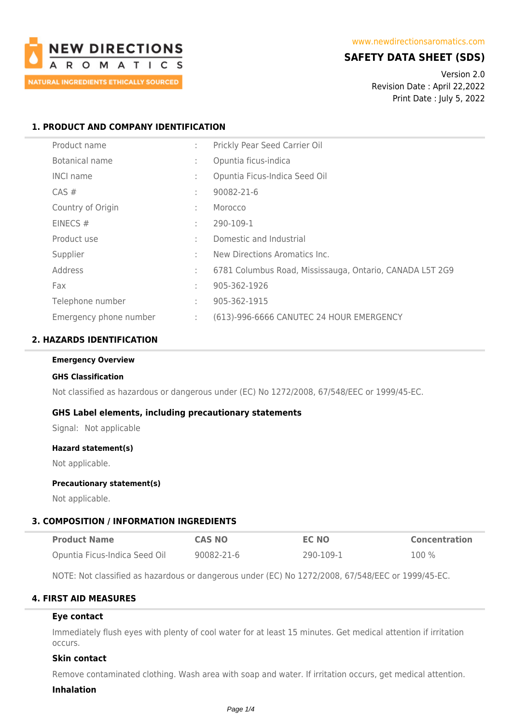

# **SAFETY DATA SHEET (SDS)**

Version 2.0 Revision Date : April 22,2022 Print Date : July 5, 2022

### **1. PRODUCT AND COMPANY IDENTIFICATION**

| Product name           | ÷  | Prickly Pear Seed Carrier Oil                            |
|------------------------|----|----------------------------------------------------------|
| Botanical name         | ÷  | Opuntia ficus-indica                                     |
| <b>INCI name</b>       | ÷  | Opuntia Ficus-Indica Seed Oil                            |
| CAS#                   | ÷  | 90082-21-6                                               |
| Country of Origin      | ÷  | Morocco                                                  |
| EINECS $#$             | ٠  | 290-109-1                                                |
| Product use            | ÷  | Domestic and Industrial                                  |
| Supplier               | ÷  | New Directions Aromatics Inc.                            |
| Address                | ٠  | 6781 Columbus Road, Mississauga, Ontario, CANADA L5T 2G9 |
| Fax                    | ٠  | 905-362-1926                                             |
| Telephone number       | ÷  | 905-362-1915                                             |
| Emergency phone number | ÷. | (613)-996-6666 CANUTEC 24 HOUR EMERGENCY                 |

### **2. HAZARDS IDENTIFICATION**

#### **Emergency Overview**

#### **GHS Classification**

Not classified as hazardous or dangerous under (EC) No 1272/2008, 67/548/EEC or 1999/45-EC.

#### **GHS Label elements, including precautionary statements**

Signal: Not applicable

#### **Hazard statement(s)**

Not applicable.

### **Precautionary statement(s)**

Not applicable.

#### **3. COMPOSITION / INFORMATION INGREDIENTS**

| <b>Product Name</b>           | <b>CAS NO</b> | <b>EC NO</b> | <b>Concentration</b> |
|-------------------------------|---------------|--------------|----------------------|
| Opuntia Ficus-Indica Seed Oil | 90082-21-6    | 290-109-1    | 100 %                |

NOTE: Not classified as hazardous or dangerous under (EC) No 1272/2008, 67/548/EEC or 1999/45-EC.

### **4. FIRST AID MEASURES**

#### **Eye contact**

Immediately flush eyes with plenty of cool water for at least 15 minutes. Get medical attention if irritation occurs.

### **Skin contact**

Remove contaminated clothing. Wash area with soap and water. If irritation occurs, get medical attention.

#### **Inhalation**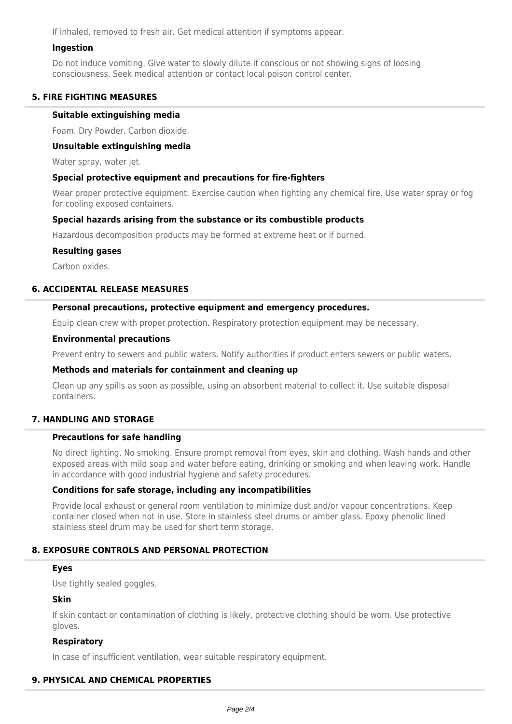If inhaled, removed to fresh air. Get medical attention if symptoms appear.

### **Ingestion**

Do not induce vomiting. Give water to slowly dilute if conscious or not showing signs of loosing consciousness. Seek medical attention or contact local poison control center.

### **5. FIRE FIGHTING MEASURES**

### **Suitable extinguishing media**

Foam. Dry Powder. Carbon dioxide.

#### **Unsuitable extinguishing media**

Water spray, water jet.

### **Special protective equipment and precautions for fire-fighters**

Wear proper protective equipment. Exercise caution when fighting any chemical fire. Use water spray or fog for cooling exposed containers.

### **Special hazards arising from the substance or its combustible products**

Hazardous decomposition products may be formed at extreme heat or if burned.

### **Resulting gases**

Carbon oxides.

### **6. ACCIDENTAL RELEASE MEASURES**

### **Personal precautions, protective equipment and emergency procedures.**

Equip clean crew with proper protection. Respiratory protection equipment may be necessary.

### **Environmental precautions**

Prevent entry to sewers and public waters. Notify authorities if product enters sewers or public waters.

### **Methods and materials for containment and cleaning up**

Clean up any spills as soon as possible, using an absorbent material to collect it. Use suitable disposal containers.

## **7. HANDLING AND STORAGE**

## **Precautions for safe handling**

No direct lighting. No smoking. Ensure prompt removal from eyes, skin and clothing. Wash hands and other exposed areas with mild soap and water before eating, drinking or smoking and when leaving work. Handle in accordance with good industrial hygiene and safety procedures.

### **Conditions for safe storage, including any incompatibilities**

Provide local exhaust or general room ventilation to minimize dust and/or vapour concentrations. Keep container closed when not in use. Store in stainless steel drums or amber glass. Epoxy phenolic lined stainless steel drum may be used for short term storage.

## **8. EXPOSURE CONTROLS AND PERSONAL PROTECTION**

#### **Eyes**

Use tightly sealed goggles.

### **Skin**

If skin contact or contamination of clothing is likely, protective clothing should be worn. Use protective gloves.

### **Respiratory**

In case of insufficient ventilation, wear suitable respiratory equipment.

### **9. PHYSICAL AND CHEMICAL PROPERTIES**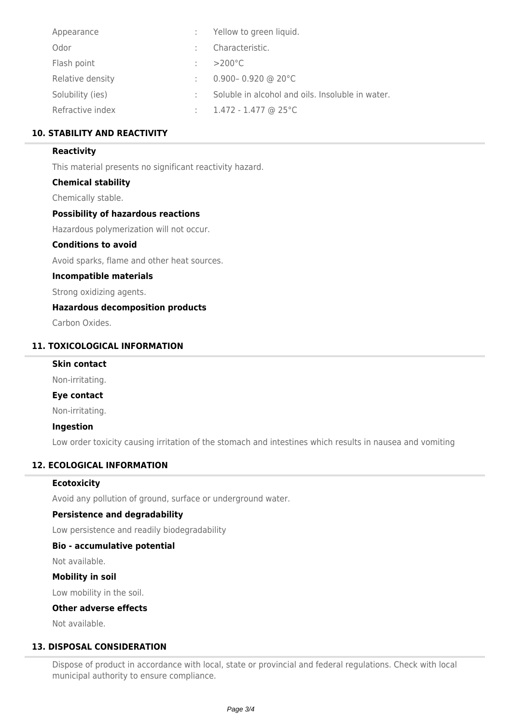| Appearance       | : Yellow to green liquid.                        |
|------------------|--------------------------------------------------|
| Odor             | Characteristic.                                  |
| Flash point      | $>200^{\circ}$ C                                 |
| Relative density | 0.900-0.920 @ 20°C                               |
| Solubility (ies) | Soluble in alcohol and oils. Insoluble in water. |
| Refractive index | $1.472 - 1.477$ @ 25 °C                          |

# **10. STABILITY AND REACTIVITY**

### **Reactivity**

This material presents no significant reactivity hazard.

### **Chemical stability**

Chemically stable.

### **Possibility of hazardous reactions**

Hazardous polymerization will not occur.

### **Conditions to avoid**

Avoid sparks, flame and other heat sources.

### **Incompatible materials**

Strong oxidizing agents.

## **Hazardous decomposition products**

Carbon Oxides.

# **11. TOXICOLOGICAL INFORMATION**

# **Skin contact**

Non-irritating.

## **Eye contact**

Non-irritating.

### **Ingestion**

Low order toxicity causing irritation of the stomach and intestines which results in nausea and vomiting

## **12. ECOLOGICAL INFORMATION**

### **Ecotoxicity**

Avoid any pollution of ground, surface or underground water.

### **Persistence and degradability**

Low persistence and readily biodegradability

### **Bio - accumulative potential**

Not available.

### **Mobility in soil**

Low mobility in the soil.

### **Other adverse effects**

Not available.

# **13. DISPOSAL CONSIDERATION**

Dispose of product in accordance with local, state or provincial and federal regulations. Check with local municipal authority to ensure compliance.